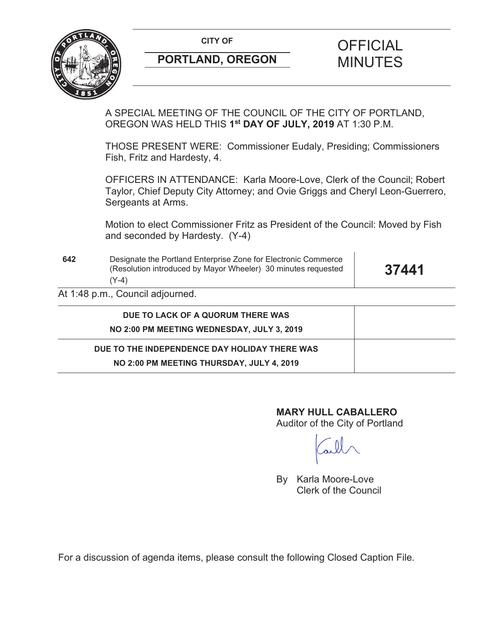

# **PORTLAND, OREGON** MINUTES

# CITY OF **CITY OF SALE OF FICIAL**

A SPECIAL MEETING OF THE COUNCIL OF THE CITY OF PORTLAND, OREGON WAS HELD THIS **1st DAY OF JULY, 2019** AT 1:30 P.M.

THOSE PRESENT WERE: Commissioner Eudaly, Presiding; Commissioners Fish, Fritz and Hardesty, 4.

OFFICERS IN ATTENDANCE: Karla Moore-Love, Clerk of the Council; Robert Taylor, Chief Deputy City Attorney; and Ovie Griggs and Cheryl Leon-Guerrero, Sergeants at Arms.

Motion to elect Commissioner Fritz as President of the Council: Moved by Fish and seconded by Hardesty. (Y-4)

**642** Designate the Portland Enterprise Zone for Electronic Commerce (Resolution introduced by Mayor Wheeler) 30 minutes requested (Y-4)

**37441**

At 1:48 p.m., Council adjourned.

| DUE TO LACK OF A QUORUM THERE WAS             |  |
|-----------------------------------------------|--|
| NO 2:00 PM MEETING WEDNESDAY, JULY 3, 2019    |  |
| DUE TO THE INDEPENDENCE DAY HOLIDAY THERE WAS |  |
| NO 2:00 PM MEETING THURSDAY, JULY 4, 2019     |  |

# **MARY HULL CABALLERO**

Auditor of the City of Portland

By Karla Moore-Love Clerk of the Council

For a discussion of agenda items, please consult the following Closed Caption File.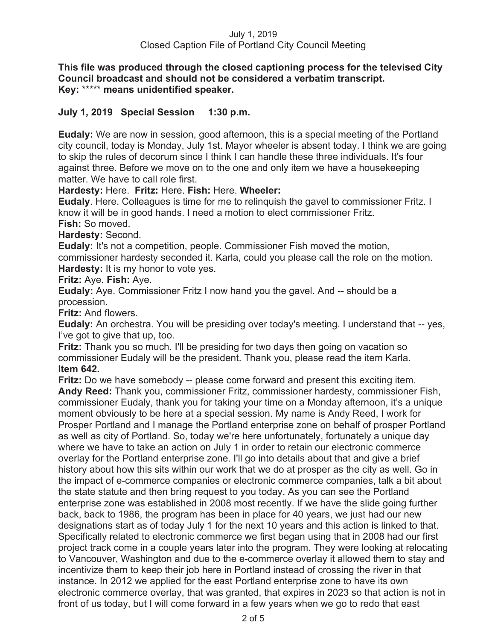### July 1, 2019 Closed Caption File of Portland City Council Meeting

**This file was produced through the closed captioning process for the televised City Council broadcast and should not be considered a verbatim transcript. Key:** \*\*\*\*\* **means unidentified speaker.** 

# **July 1, 2019 Special Session 1:30 p.m.**

**Eudaly:** We are now in session, good afternoon, this is a special meeting of the Portland city council, today is Monday, July 1st. Mayor wheeler is absent today. I think we are going to skip the rules of decorum since I think I can handle these three individuals. It's four against three. Before we move on to the one and only item we have a housekeeping matter. We have to call role first.

**Hardesty:** Here. **Fritz:** Here. **Fish:** Here. **Wheeler:** 

**Eudaly**. Here. Colleagues is time for me to relinquish the gavel to commissioner Fritz. I know it will be in good hands. I need a motion to elect commissioner Fritz. **Fish:** So moved.

**Hardesty:** Second.

**Eudaly:** It's not a competition, people. Commissioner Fish moved the motion, commissioner hardesty seconded it. Karla, could you please call the role on the motion. **Hardesty:** It is my honor to vote yes.

**Fritz:** Aye. **Fish:** Aye.

**Eudaly:** Aye. Commissioner Fritz I now hand you the gavel. And -- should be a procession.

**Fritz:** And flowers.

**Eudaly:** An orchestra. You will be presiding over today's meeting. I understand that -- yes, I've got to give that up, too.

**Fritz:** Thank you so much. I'll be presiding for two days then going on vacation so commissioner Eudaly will be the president. Thank you, please read the item Karla. **Item 642.**

**Fritz:** Do we have somebody -- please come forward and present this exciting item. **Andy Reed:** Thank you, commissioner Fritz, commissioner hardesty, commissioner Fish, commissioner Eudaly, thank you for taking your time on a Monday afternoon, it's a unique moment obviously to be here at a special session. My name is Andy Reed, I work for Prosper Portland and I manage the Portland enterprise zone on behalf of prosper Portland as well as city of Portland. So, today we're here unfortunately, fortunately a unique day where we have to take an action on July 1 in order to retain our electronic commerce overlay for the Portland enterprise zone. I'll go into details about that and give a brief history about how this sits within our work that we do at prosper as the city as well. Go in the impact of e-commerce companies or electronic commerce companies, talk a bit about the state statute and then bring request to you today. As you can see the Portland enterprise zone was established in 2008 most recently. If we have the slide going further back, back to 1986, the program has been in place for 40 years, we just had our new designations start as of today July 1 for the next 10 years and this action is linked to that. Specifically related to electronic commerce we first began using that in 2008 had our first project track come in a couple years later into the program. They were looking at relocating to Vancouver, Washington and due to the e-commerce overlay it allowed them to stay and incentivize them to keep their job here in Portland instead of crossing the river in that instance. In 2012 we applied for the east Portland enterprise zone to have its own electronic commerce overlay, that was granted, that expires in 2023 so that action is not in front of us today, but I will come forward in a few years when we go to redo that east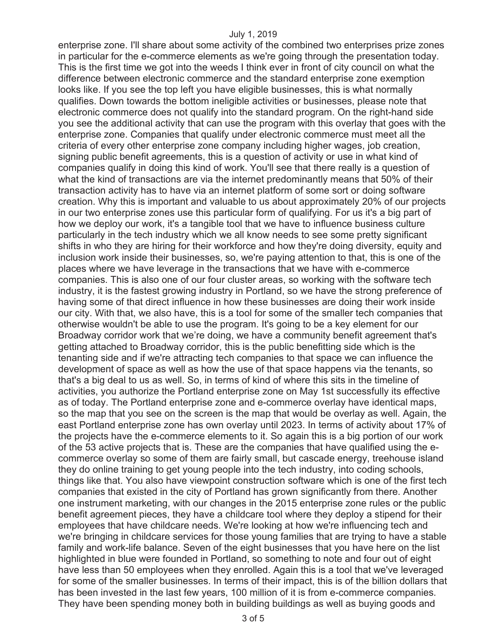#### July 1, 2019

enterprise zone. I'll share about some activity of the combined two enterprises prize zones in particular for the e-commerce elements as we're going through the presentation today. This is the first time we got into the weeds I think ever in front of city council on what the difference between electronic commerce and the standard enterprise zone exemption looks like. If you see the top left you have eligible businesses, this is what normally qualifies. Down towards the bottom ineligible activities or businesses, please note that electronic commerce does not qualify into the standard program. On the right-hand side you see the additional activity that can use the program with this overlay that goes with the enterprise zone. Companies that qualify under electronic commerce must meet all the criteria of every other enterprise zone company including higher wages, job creation, signing public benefit agreements, this is a question of activity or use in what kind of companies qualify in doing this kind of work. You'll see that there really is a question of what the kind of transactions are via the internet predominantly means that 50% of their transaction activity has to have via an internet platform of some sort or doing software creation. Why this is important and valuable to us about approximately 20% of our projects in our two enterprise zones use this particular form of qualifying. For us it's a big part of how we deploy our work, it's a tangible tool that we have to influence business culture particularly in the tech industry which we all know needs to see some pretty significant shifts in who they are hiring for their workforce and how they're doing diversity, equity and inclusion work inside their businesses, so, we're paying attention to that, this is one of the places where we have leverage in the transactions that we have with e-commerce companies. This is also one of our four cluster areas, so working with the software tech industry, it is the fastest growing industry in Portland, so we have the strong preference of having some of that direct influence in how these businesses are doing their work inside our city. With that, we also have, this is a tool for some of the smaller tech companies that otherwise wouldn't be able to use the program. It's going to be a key element for our Broadway corridor work that we're doing, we have a community benefit agreement that's getting attached to Broadway corridor, this is the public benefitting side which is the tenanting side and if we're attracting tech companies to that space we can influence the development of space as well as how the use of that space happens via the tenants, so that's a big deal to us as well. So, in terms of kind of where this sits in the timeline of activities, you authorize the Portland enterprise zone on May 1st successfully its effective as of today. The Portland enterprise zone and e-commerce overlay have identical maps, so the map that you see on the screen is the map that would be overlay as well. Again, the east Portland enterprise zone has own overlay until 2023. In terms of activity about 17% of the projects have the e-commerce elements to it. So again this is a big portion of our work of the 53 active projects that is. These are the companies that have qualified using the ecommerce overlay so some of them are fairly small, but cascade energy, treehouse island they do online training to get young people into the tech industry, into coding schools, things like that. You also have viewpoint construction software which is one of the first tech companies that existed in the city of Portland has grown significantly from there. Another one instrument marketing, with our changes in the 2015 enterprise zone rules or the public benefit agreement pieces, they have a childcare tool where they deploy a stipend for their employees that have childcare needs. We're looking at how we're influencing tech and we're bringing in childcare services for those young families that are trying to have a stable family and work-life balance. Seven of the eight businesses that you have here on the list highlighted in blue were founded in Portland, so something to note and four out of eight have less than 50 employees when they enrolled. Again this is a tool that we've leveraged for some of the smaller businesses. In terms of their impact, this is of the billion dollars that has been invested in the last few years, 100 million of it is from e-commerce companies. They have been spending money both in building buildings as well as buying goods and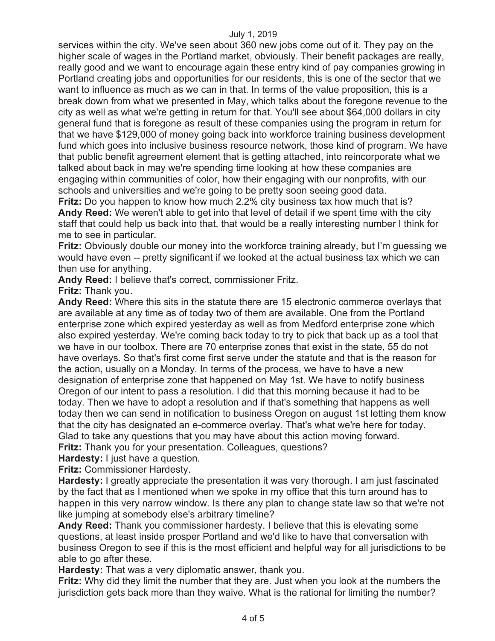#### July 1, 2019

services within the city. We've seen about 360 new jobs come out of it. They pay on the higher scale of wages in the Portland market, obviously. Their benefit packages are really, really good and we want to encourage again these entry kind of pay companies growing in Portland creating jobs and opportunities for our residents, this is one of the sector that we want to influence as much as we can in that. In terms of the value proposition, this is a break down from what we presented in May, which talks about the foregone revenue to the city as well as what we're getting in return for that. You'll see about \$64,000 dollars in city general fund that is foregone as result of these companies using the program in return for that we have \$129,000 of money going back into workforce training business development fund which goes into inclusive business resource network, those kind of program. We have that public benefit agreement element that is getting attached, into reincorporate what we talked about back in may we're spending time looking at how these companies are engaging within communities of color, how their engaging with our nonprofits, with our schools and universities and we're going to be pretty soon seeing good data.

**Fritz:** Do you happen to know how much 2.2% city business tax how much that is? **Andy Reed:** We weren't able to get into that level of detail if we spent time with the city staff that could help us back into that, that would be a really interesting number I think for me to see in particular.

**Fritz:** Obviously double our money into the workforce training already, but I'm guessing we would have even -- pretty significant if we looked at the actual business tax which we can then use for anything.

**Andy Reed:** I believe that's correct, commissioner Fritz.

**Fritz:** Thank you.

**Andy Reed:** Where this sits in the statute there are 15 electronic commerce overlays that are available at any time as of today two of them are available. One from the Portland enterprise zone which expired yesterday as well as from Medford enterprise zone which also expired yesterday. We're coming back today to try to pick that back up as a tool that we have in our toolbox. There are 70 enterprise zones that exist in the state, 55 do not have overlays. So that's first come first serve under the statute and that is the reason for the action, usually on a Monday. In terms of the process, we have to have a new designation of enterprise zone that happened on May 1st. We have to notify business Oregon of our intent to pass a resolution. I did that this morning because it had to be today. Then we have to adopt a resolution and if that's something that happens as well today then we can send in notification to business Oregon on august 1st letting them know that the city has designated an e-commerce overlay. That's what we're here for today. Glad to take any questions that you may have about this action moving forward.

**Fritz:** Thank you for your presentation. Colleagues, questions?

**Hardesty:** I just have a question.

**Fritz:** Commissioner Hardesty.

**Hardesty:** I greatly appreciate the presentation it was very thorough. I am just fascinated by the fact that as I mentioned when we spoke in my office that this turn around has to happen in this very narrow window. Is there any plan to change state law so that we're not like jumping at somebody else's arbitrary timeline?

**Andy Reed:** Thank you commissioner hardesty. I believe that this is elevating some questions, at least inside prosper Portland and we'd like to have that conversation with business Oregon to see if this is the most efficient and helpful way for all jurisdictions to be able to go after these.

**Hardesty:** That was a very diplomatic answer, thank you.

**Fritz:** Why did they limit the number that they are. Just when you look at the numbers the jurisdiction gets back more than they waive. What is the rational for limiting the number?